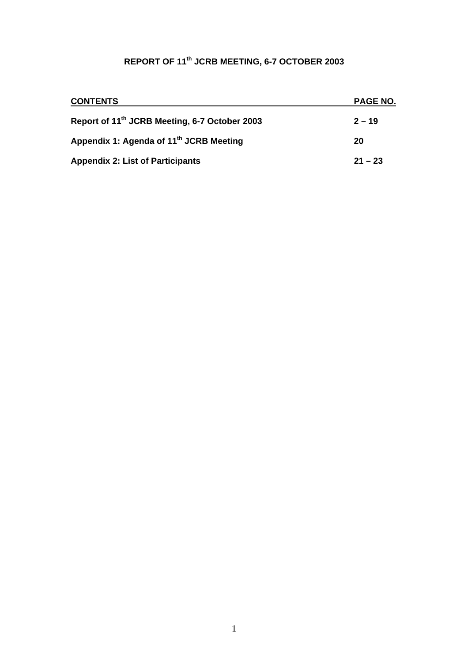# **REPORT OF 11th JCRB MEETING, 6-7 OCTOBER 2003**

| <b>CONTENTS</b>                                           | <b>PAGE NO.</b> |
|-----------------------------------------------------------|-----------------|
| Report of 11 <sup>th</sup> JCRB Meeting, 6-7 October 2003 | $2 - 19$        |
| Appendix 1: Agenda of 11 <sup>th</sup> JCRB Meeting       | 20              |
| <b>Appendix 2: List of Participants</b>                   | $21 - 23$       |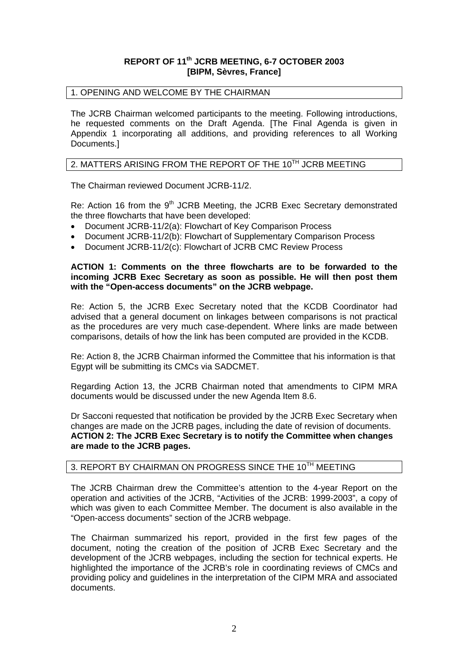## **REPORT OF 11th JCRB MEETING, 6-7 OCTOBER 2003 [BIPM, Sèvres, France]**

#### 1. OPENING AND WELCOME BY THE CHAIRMAN

The JCRB Chairman welcomed participants to the meeting. Following introductions, he requested comments on the Draft Agenda. [The Final Agenda is given in Appendix 1 incorporating all additions, and providing references to all Working Documents.]

#### 2. MATTERS ARISING FROM THE REPORT OF THE 10<sup>TH</sup> JCRB MEETING

The Chairman reviewed Document JCRB-11/2.

Re: Action 16 from the 9<sup>th</sup> JCRB Meeting, the JCRB Exec Secretary demonstrated the three flowcharts that have been developed:

- Document JCRB-11/2(a): Flowchart of Key Comparison Process
- Document JCRB-11/2(b): Flowchart of Supplementary Comparison Process
- Document JCRB-11/2(c): Flowchart of JCRB CMC Review Process

#### **ACTION 1: Comments on the three flowcharts are to be forwarded to the incoming JCRB Exec Secretary as soon as possible. He will then post them with the "Open-access documents" on the JCRB webpage.**

Re: Action 5, the JCRB Exec Secretary noted that the KCDB Coordinator had advised that a general document on linkages between comparisons is not practical as the procedures are very much case-dependent. Where links are made between comparisons, details of how the link has been computed are provided in the KCDB.

Re: Action 8, the JCRB Chairman informed the Committee that his information is that Egypt will be submitting its CMCs via SADCMET.

Regarding Action 13, the JCRB Chairman noted that amendments to CIPM MRA documents would be discussed under the new Agenda Item 8.6.

Dr Sacconi requested that notification be provided by the JCRB Exec Secretary when changes are made on the JCRB pages, including the date of revision of documents. **ACTION 2: The JCRB Exec Secretary is to notify the Committee when changes are made to the JCRB pages.** 

## 3. REPORT BY CHAIRMAN ON PROGRESS SINCE THE 10<sup>TH</sup> MEETING

The JCRB Chairman drew the Committee's attention to the 4-year Report on the operation and activities of the JCRB, "Activities of the JCRB: 1999-2003", a copy of which was given to each Committee Member. The document is also available in the "Open-access documents" section of the JCRB webpage.

The Chairman summarized his report, provided in the first few pages of the document, noting the creation of the position of JCRB Exec Secretary and the development of the JCRB webpages, including the section for technical experts. He highlighted the importance of the JCRB's role in coordinating reviews of CMCs and providing policy and guidelines in the interpretation of the CIPM MRA and associated documents.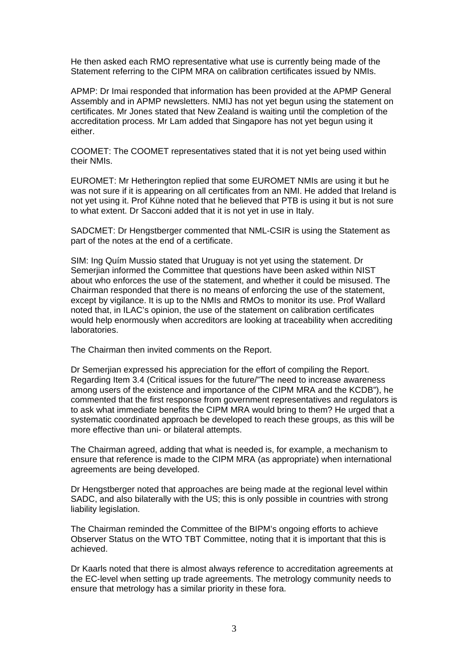He then asked each RMO representative what use is currently being made of the Statement referring to the CIPM MRA on calibration certificates issued by NMIs.

APMP: Dr Imai responded that information has been provided at the APMP General Assembly and in APMP newsletters. NMIJ has not yet begun using the statement on certificates. Mr Jones stated that New Zealand is waiting until the completion of the accreditation process. Mr Lam added that Singapore has not yet begun using it either.

COOMET: The COOMET representatives stated that it is not yet being used within their NMIs.

EUROMET: Mr Hetherington replied that some EUROMET NMIs are using it but he was not sure if it is appearing on all certificates from an NMI. He added that Ireland is not yet using it. Prof Kühne noted that he believed that PTB is using it but is not sure to what extent. Dr Sacconi added that it is not yet in use in Italy.

SADCMET: Dr Hengstberger commented that NML-CSIR is using the Statement as part of the notes at the end of a certificate.

SIM: Ing Quím Mussio stated that Uruguay is not yet using the statement. Dr Semerjian informed the Committee that questions have been asked within NIST about who enforces the use of the statement, and whether it could be misused. The Chairman responded that there is no means of enforcing the use of the statement, except by vigilance. It is up to the NMIs and RMOs to monitor its use. Prof Wallard noted that, in ILAC's opinion, the use of the statement on calibration certificates would help enormously when accreditors are looking at traceability when accrediting laboratories.

The Chairman then invited comments on the Report.

Dr Semerjian expressed his appreciation for the effort of compiling the Report. Regarding Item 3.4 (Critical issues for the future/"The need to increase awareness among users of the existence and importance of the CIPM MRA and the KCDB"), he commented that the first response from government representatives and regulators is to ask what immediate benefits the CIPM MRA would bring to them? He urged that a systematic coordinated approach be developed to reach these groups, as this will be more effective than uni- or bilateral attempts.

The Chairman agreed, adding that what is needed is, for example, a mechanism to ensure that reference is made to the CIPM MRA (as appropriate) when international agreements are being developed.

Dr Hengstberger noted that approaches are being made at the regional level within SADC, and also bilaterally with the US; this is only possible in countries with strong liability legislation.

The Chairman reminded the Committee of the BIPM's ongoing efforts to achieve Observer Status on the WTO TBT Committee, noting that it is important that this is achieved.

Dr Kaarls noted that there is almost always reference to accreditation agreements at the EC-level when setting up trade agreements. The metrology community needs to ensure that metrology has a similar priority in these fora.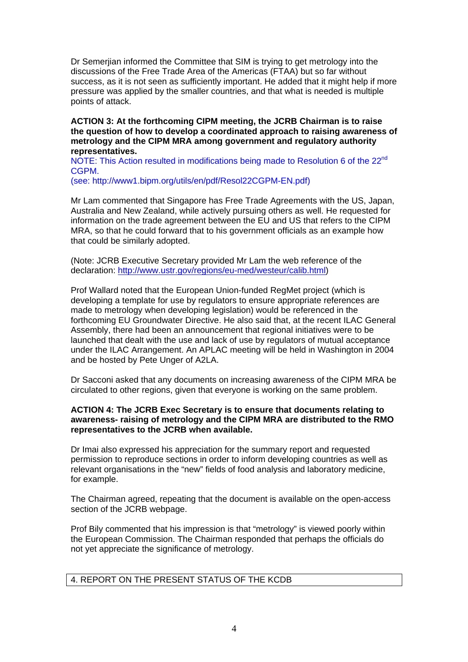Dr Semerjian informed the Committee that SIM is trying to get metrology into the discussions of the Free Trade Area of the Americas (FTAA) but so far without success, as it is not seen as sufficiently important. He added that it might help if more pressure was applied by the smaller countries, and that what is needed is multiple points of attack.

**ACTION 3: At the forthcoming CIPM meeting, the JCRB Chairman is to raise the question of how to develop a coordinated approach to raising awareness of metrology and the CIPM MRA among government and regulatory authority representatives.** 

NOTE: This Action resulted in modifications being made to Resolution 6 of the 22<sup>nd</sup> CGPM.

(see: http://www1.bipm.org/utils/en/pdf/Resol22CGPM-EN.pdf)

Mr Lam commented that Singapore has Free Trade Agreements with the US, Japan, Australia and New Zealand, while actively pursuing others as well. He requested for information on the trade agreement between the EU and US that refers to the CIPM MRA, so that he could forward that to his government officials as an example how that could be similarly adopted.

(Note: JCRB Executive Secretary provided Mr Lam the web reference of the declaration: <http://www.ustr.gov/regions/eu-med/westeur/calib.html>)

Prof Wallard noted that the European Union-funded RegMet project (which is developing a template for use by regulators to ensure appropriate references are made to metrology when developing legislation) would be referenced in the forthcoming EU Groundwater Directive. He also said that, at the recent ILAC General Assembly, there had been an announcement that regional initiatives were to be launched that dealt with the use and lack of use by regulators of mutual acceptance under the ILAC Arrangement. An APLAC meeting will be held in Washington in 2004 and be hosted by Pete Unger of A2LA.

Dr Sacconi asked that any documents on increasing awareness of the CIPM MRA be circulated to other regions, given that everyone is working on the same problem.

## **ACTION 4: The JCRB Exec Secretary is to ensure that documents relating to awareness- raising of metrology and the CIPM MRA are distributed to the RMO representatives to the JCRB when available.**

Dr Imai also expressed his appreciation for the summary report and requested permission to reproduce sections in order to inform developing countries as well as relevant organisations in the "new" fields of food analysis and laboratory medicine, for example.

The Chairman agreed, repeating that the document is available on the open-access section of the JCRB webpage.

Prof Bily commented that his impression is that "metrology" is viewed poorly within the European Commission. The Chairman responded that perhaps the officials do not yet appreciate the significance of metrology.

#### 4. REPORT ON THE PRESENT STATUS OF THE KCDB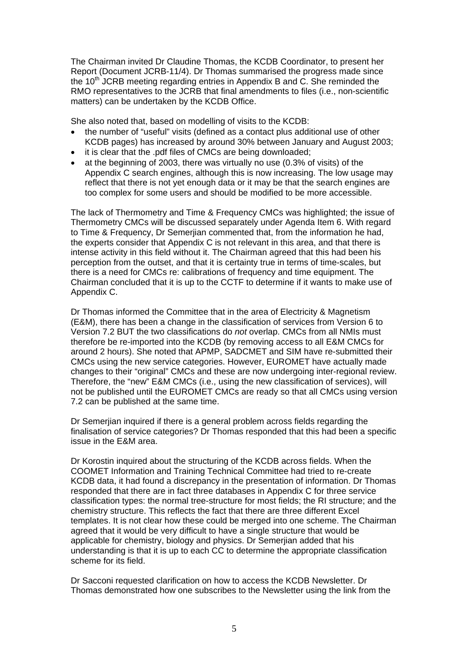The Chairman invited Dr Claudine Thomas, the KCDB Coordinator, to present her Report (Document JCRB-11/4). Dr Thomas summarised the progress made since the 10<sup>th</sup> JCRB meeting regarding entries in Appendix B and C. She reminded the RMO representatives to the JCRB that final amendments to files (i.e., non-scientific matters) can be undertaken by the KCDB Office.

She also noted that, based on modelling of visits to the KCDB:

- the number of "useful" visits (defined as a contact plus additional use of other KCDB pages) has increased by around 30% between January and August 2003;
- it is clear that the .pdf files of CMCs are being downloaded;
- at the beginning of 2003, there was virtually no use (0.3% of visits) of the Appendix C search engines, although this is now increasing. The low usage may reflect that there is not yet enough data or it may be that the search engines are too complex for some users and should be modified to be more accessible.

The lack of Thermometry and Time & Frequency CMCs was highlighted; the issue of Thermometry CMCs will be discussed separately under Agenda Item 6. With regard to Time & Frequency, Dr Semerjian commented that, from the information he had, the experts consider that Appendix C is not relevant in this area, and that there is intense activity in this field without it. The Chairman agreed that this had been his perception from the outset, and that it is certainty true in terms of time-scales, but there is a need for CMCs re: calibrations of frequency and time equipment. The Chairman concluded that it is up to the CCTF to determine if it wants to make use of Appendix C.

Dr Thomas informed the Committee that in the area of Electricity & Magnetism (E&M), there has been a change in the classification of services from Version 6 to Version 7.2 BUT the two classifications do *not* overlap. CMCs from all NMIs must therefore be re-imported into the KCDB (by removing access to all E&M CMCs for around 2 hours). She noted that APMP, SADCMET and SIM have re-submitted their CMCs using the new service categories. However, EUROMET have actually made changes to their "original" CMCs and these are now undergoing inter-regional review. Therefore, the "new" E&M CMCs (i.e., using the new classification of services), will not be published until the EUROMET CMCs are ready so that all CMCs using version 7.2 can be published at the same time.

Dr Semerjian inquired if there is a general problem across fields regarding the finalisation of service categories? Dr Thomas responded that this had been a specific issue in the E&M area.

Dr Korostin inquired about the structuring of the KCDB across fields. When the COOMET Information and Training Technical Committee had tried to re-create KCDB data, it had found a discrepancy in the presentation of information. Dr Thomas responded that there are in fact three databases in Appendix C for three service classification types: the normal tree-structure for most fields; the RI structure; and the chemistry structure. This reflects the fact that there are three different Excel templates. It is not clear how these could be merged into one scheme. The Chairman agreed that it would be very difficult to have a single structure that would be applicable for chemistry, biology and physics. Dr Semerjian added that his understanding is that it is up to each CC to determine the appropriate classification scheme for its field.

Dr Sacconi requested clarification on how to access the KCDB Newsletter. Dr Thomas demonstrated how one subscribes to the Newsletter using the link from the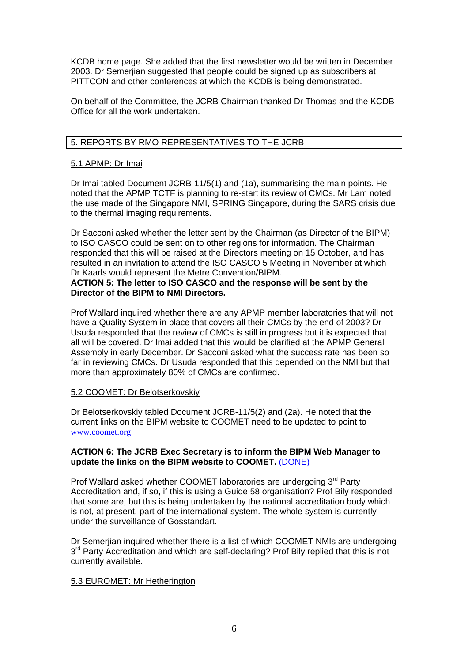KCDB home page. She added that the first newsletter would be written in December 2003. Dr Semerjian suggested that people could be signed up as subscribers at PITTCON and other conferences at which the KCDB is being demonstrated.

On behalf of the Committee, the JCRB Chairman thanked Dr Thomas and the KCDB Office for all the work undertaken.

## 5. REPORTS BY RMO REPRESENTATIVES TO THE JCRB

#### 5.1 APMP: Dr Imai

Dr Imai tabled Document JCRB-11/5(1) and (1a), summarising the main points. He noted that the APMP TCTF is planning to re-start its review of CMCs. Mr Lam noted the use made of the Singapore NMI, SPRING Singapore, during the SARS crisis due to the thermal imaging requirements.

Dr Sacconi asked whether the letter sent by the Chairman (as Director of the BIPM) to ISO CASCO could be sent on to other regions for information. The Chairman responded that this will be raised at the Directors meeting on 15 October, and has resulted in an invitation to attend the ISO CASCO 5 Meeting in November at which Dr Kaarls would represent the Metre Convention/BIPM.

# **ACTION 5: The letter to ISO CASCO and the response will be sent by the Director of the BIPM to NMI Directors.**

Prof Wallard inquired whether there are any APMP member laboratories that will not have a Quality System in place that covers all their CMCs by the end of 2003? Dr Usuda responded that the review of CMCs is still in progress but it is expected that all will be covered. Dr Imai added that this would be clarified at the APMP General Assembly in early December. Dr Sacconi asked what the success rate has been so far in reviewing CMCs. Dr Usuda responded that this depended on the NMI but that more than approximately 80% of CMCs are confirmed.

#### 5.2 COOMET: Dr Belotserkovskiy

Dr Belotserkovskiy tabled Document JCRB-11/5(2) and (2a). He noted that the current links on the BIPM website to COOMET need to be updated to point to [www.coomet.org](http://www.coomet.org/).

#### **ACTION 6: The JCRB Exec Secretary is to inform the BIPM Web Manager to update the links on the BIPM website to COOMET.** (DONE)

Prof Wallard asked whether COOMET laboratories are undergoing 3<sup>rd</sup> Party Accreditation and, if so, if this is using a Guide 58 organisation? Prof Bily responded that some are, but this is being undertaken by the national accreditation body which is not, at present, part of the international system. The whole system is currently under the surveillance of Gosstandart.

Dr Semerjian inquired whether there is a list of which COOMET NMIs are undergoing  $3<sup>rd</sup>$  Party Accreditation and which are self-declaring? Prof Bily replied that this is not currently available.

#### 5.3 EUROMET: Mr Hetherington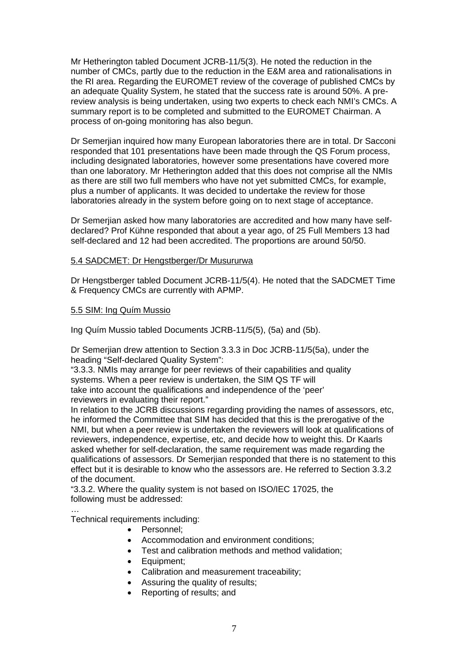Mr Hetherington tabled Document JCRB-11/5(3). He noted the reduction in the number of CMCs, partly due to the reduction in the E&M area and rationalisations in the RI area. Regarding the EUROMET review of the coverage of published CMCs by an adequate Quality System, he stated that the success rate is around 50%. A prereview analysis is being undertaken, using two experts to check each NMI's CMCs. A summary report is to be completed and submitted to the EUROMET Chairman. A process of on-going monitoring has also begun.

Dr Semerjian inquired how many European laboratories there are in total. Dr Sacconi responded that 101 presentations have been made through the QS Forum process, including designated laboratories, however some presentations have covered more than one laboratory. Mr Hetherington added that this does not comprise all the NMIs as there are still two full members who have not yet submitted CMCs, for example, plus a number of applicants. It was decided to undertake the review for those laboratories already in the system before going on to next stage of acceptance.

Dr Semerjian asked how many laboratories are accredited and how many have selfdeclared? Prof Kühne responded that about a year ago, of 25 Full Members 13 had self-declared and 12 had been accredited. The proportions are around 50/50.

## 5.4 SADCMET: Dr Hengstberger/Dr Musururwa

Dr Hengstberger tabled Document JCRB-11/5(4). He noted that the SADCMET Time & Frequency CMCs are currently with APMP.

## 5.5 SIM: Ing Quím Mussio

Ing Quím Mussio tabled Documents JCRB-11/5(5), (5a) and (5b).

Dr Semerjian drew attention to Section 3.3.3 in Doc JCRB-11/5(5a), under the heading "Self-declared Quality System":

"3.3.3. NMIs may arrange for peer reviews of their capabilities and quality systems. When a peer review is undertaken, the SIM QS TF will take into account the qualifications and independence of the 'peer' reviewers in evaluating their report."

In relation to the JCRB discussions regarding providing the names of assessors, etc, he informed the Committee that SIM has decided that this is the prerogative of the NMI, but when a peer review is undertaken the reviewers will look at qualifications of reviewers, independence, expertise, etc, and decide how to weight this. Dr Kaarls asked whether for self-declaration, the same requirement was made regarding the qualifications of assessors. Dr Semerjian responded that there is no statement to this effect but it is desirable to know who the assessors are. He referred to Section 3.3.2 of the document.

"3.3.2. Where the quality system is not based on ISO/IEC 17025, the following must be addressed:

… Technical requirements including:

- Personnel;
- Accommodation and environment conditions;
- Test and calibration methods and method validation;
- Equipment;
- Calibration and measurement traceability;
- Assuring the quality of results;
- Reporting of results; and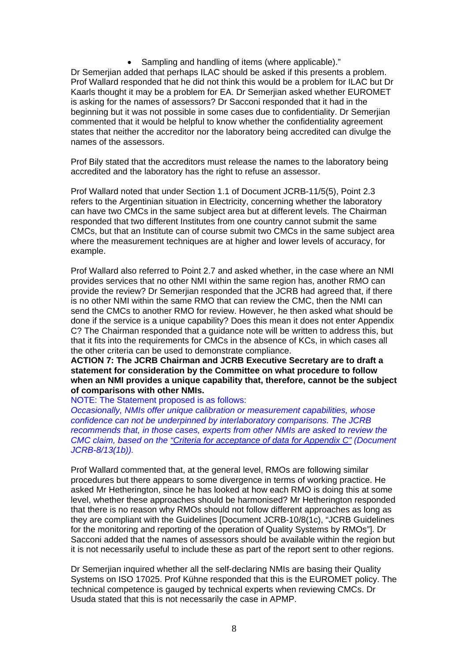• Sampling and handling of items (where applicable)." Dr Semerjian added that perhaps ILAC should be asked if this presents a problem. Prof Wallard responded that he did not think this would be a problem for ILAC but Dr Kaarls thought it may be a problem for EA. Dr Semerjian asked whether EUROMET is asking for the names of assessors? Dr Sacconi responded that it had in the beginning but it was not possible in some cases due to confidentiality. Dr Semerjian commented that it would be helpful to know whether the confidentiality agreement states that neither the accreditor nor the laboratory being accredited can divulge the names of the assessors.

Prof Bily stated that the accreditors must release the names to the laboratory being accredited and the laboratory has the right to refuse an assessor.

Prof Wallard noted that under Section 1.1 of Document JCRB-11/5(5), Point 2.3 refers to the Argentinian situation in Electricity, concerning whether the laboratory can have two CMCs in the same subject area but at different levels. The Chairman responded that two different Institutes from one country cannot submit the same CMCs, but that an Institute can of course submit two CMCs in the same subject area where the measurement techniques are at higher and lower levels of accuracy, for example.

Prof Wallard also referred to Point 2.7 and asked whether, in the case where an NMI provides services that no other NMI within the same region has, another RMO can provide the review? Dr Semerjian responded that the JCRB had agreed that, if there is no other NMI within the same RMO that can review the CMC, then the NMI can send the CMCs to another RMO for review. However, he then asked what should be done if the service is a unique capability? Does this mean it does not enter Appendix C? The Chairman responded that a guidance note will be written to address this, but that it fits into the requirements for CMCs in the absence of KCs, in which cases all the other criteria can be used to demonstrate compliance.

**ACTION 7: The JCRB Chairman and JCRB Executive Secretary are to draft a statement for consideration by the Committee on what procedure to follow when an NMI provides a unique capability that, therefore, cannot be the subject of comparisons with other NMIs.** 

NOTE: The Statement proposed is as follows:

*Occasionally, NMIs offer unique calibration or measurement capabilities, whose confidence can not be underpinned by interlaboratory comparisons. The JCRB recommends that, in those cases, experts from other NMIs are asked to review the CMC claim, based on the ["Criteria for acceptance of data for Appendix C"](https://www.bipm.org/utils/common/documents/jcrb/AppC_criteria.pdf) (Document JCRB-8/13(1b)).* 

Prof Wallard commented that, at the general level, RMOs are following similar procedures but there appears to some divergence in terms of working practice. He asked Mr Hetherington, since he has looked at how each RMO is doing this at some level, whether these approaches should be harmonised? Mr Hetherington responded that there is no reason why RMOs should not follow different approaches as long as they are compliant with the Guidelines [Document JCRB-10/8(1c), "JCRB Guidelines for the monitoring and reporting of the operation of Quality Systems by RMOs"]. Dr Sacconi added that the names of assessors should be available within the region but it is not necessarily useful to include these as part of the report sent to other regions.

Dr Semerjian inquired whether all the self-declaring NMIs are basing their Quality Systems on ISO 17025. Prof Kühne responded that this is the EUROMET policy. The technical competence is gauged by technical experts when reviewing CMCs. Dr Usuda stated that this is not necessarily the case in APMP.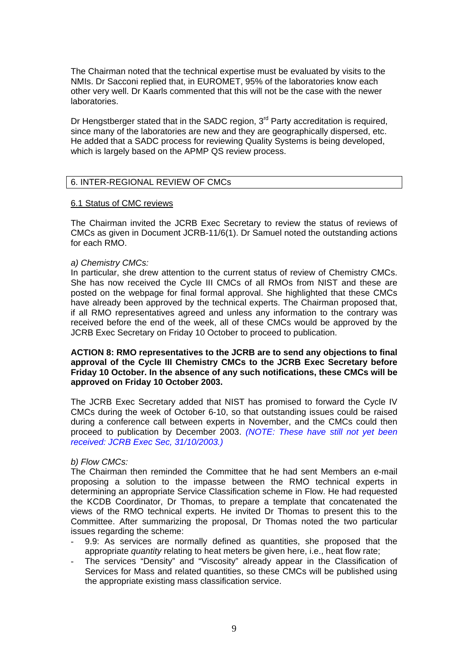The Chairman noted that the technical expertise must be evaluated by visits to the NMIs. Dr Sacconi replied that, in EUROMET, 95% of the laboratories know each other very well. Dr Kaarls commented that this will not be the case with the newer laboratories.

Dr Hengstberger stated that in the SADC region,  $3<sup>rd</sup>$  Party accreditation is required, since many of the laboratories are new and they are geographically dispersed, etc. He added that a SADC process for reviewing Quality Systems is being developed, which is largely based on the APMP QS review process.

## 6. INTER-REGIONAL REVIEW OF CMCs

#### 6.1 Status of CMC reviews

The Chairman invited the JCRB Exec Secretary to review the status of reviews of CMCs as given in Document JCRB-11/6(1). Dr Samuel noted the outstanding actions for each RMO.

#### *a) Chemistry CMCs:*

In particular, she drew attention to the current status of review of Chemistry CMCs. She has now received the Cycle III CMCs of all RMOs from NIST and these are posted on the webpage for final formal approval. She highlighted that these CMCs have already been approved by the technical experts. The Chairman proposed that, if all RMO representatives agreed and unless any information to the contrary was received before the end of the week, all of these CMCs would be approved by the JCRB Exec Secretary on Friday 10 October to proceed to publication.

#### **ACTION 8: RMO representatives to the JCRB are to send any objections to final approval of the Cycle III Chemistry CMCs to the JCRB Exec Secretary before Friday 10 October. In the absence of any such notifications, these CMCs will be approved on Friday 10 October 2003.**

The JCRB Exec Secretary added that NIST has promised to forward the Cycle IV CMCs during the week of October 6-10, so that outstanding issues could be raised during a conference call between experts in November, and the CMCs could then proceed to publication by December 2003. *(NOTE: These have still not yet been received: JCRB Exec Sec, 31/10/2003.)* 

#### *b) Flow CMCs:*

The Chairman then reminded the Committee that he had sent Members an e-mail proposing a solution to the impasse between the RMO technical experts in determining an appropriate Service Classification scheme in Flow. He had requested the KCDB Coordinator, Dr Thomas, to prepare a template that concatenated the views of the RMO technical experts. He invited Dr Thomas to present this to the Committee. After summarizing the proposal, Dr Thomas noted the two particular issues regarding the scheme:

- 9.9: As services are normally defined as quantities, she proposed that the appropriate *quantity* relating to heat meters be given here, i.e., heat flow rate;
- The services "Density" and "Viscosity" already appear in the Classification of Services for Mass and related quantities, so these CMCs will be published using the appropriate existing mass classification service.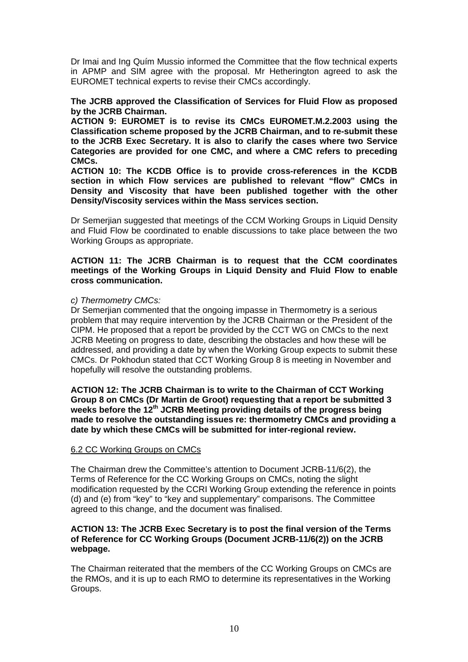Dr Imai and Ing Quím Mussio informed the Committee that the flow technical experts in APMP and SIM agree with the proposal. Mr Hetherington agreed to ask the EUROMET technical experts to revise their CMCs accordingly.

## **The JCRB approved the Classification of Services for Fluid Flow as proposed by the JCRB Chairman.**

**ACTION 9: EUROMET is to revise its CMCs EUROMET.M.2.2003 using the Classification scheme proposed by the JCRB Chairman, and to re-submit these to the JCRB Exec Secretary. It is also to clarify the cases where two Service Categories are provided for one CMC, and where a CMC refers to preceding CMCs.** 

**ACTION 10: The KCDB Office is to provide cross-references in the KCDB section in which Flow services are published to relevant "flow" CMCs in Density and Viscosity that have been published together with the other Density/Viscosity services within the Mass services section.** 

Dr Semerjian suggested that meetings of the CCM Working Groups in Liquid Density and Fluid Flow be coordinated to enable discussions to take place between the two Working Groups as appropriate.

## **ACTION 11: The JCRB Chairman is to request that the CCM coordinates meetings of the Working Groups in Liquid Density and Fluid Flow to enable cross communication.**

## *c) Thermometry CMCs:*

Dr Semerjian commented that the ongoing impasse in Thermometry is a serious problem that may require intervention by the JCRB Chairman or the President of the CIPM. He proposed that a report be provided by the CCT WG on CMCs to the next JCRB Meeting on progress to date, describing the obstacles and how these will be addressed, and providing a date by when the Working Group expects to submit these CMCs. Dr Pokhodun stated that CCT Working Group 8 is meeting in November and hopefully will resolve the outstanding problems.

### **ACTION 12: The JCRB Chairman is to write to the Chairman of CCT Working Group 8 on CMCs (Dr Martin de Groot) requesting that a report be submitted 3 weeks before the 12th JCRB Meeting providing details of the progress being made to resolve the outstanding issues re: thermometry CMCs and providing a date by which these CMCs will be submitted for inter-regional review.**

## 6.2 CC Working Groups on CMCs

The Chairman drew the Committee's attention to Document JCRB-11/6(2), the Terms of Reference for the CC Working Groups on CMCs, noting the slight modification requested by the CCRI Working Group extending the reference in points (d) and (e) from "key" to "key and supplementary" comparisons. The Committee agreed to this change, and the document was finalised.

#### **ACTION 13: The JCRB Exec Secretary is to post the final version of the Terms of Reference for CC Working Groups (Document JCRB-11/6(2)) on the JCRB webpage.**

The Chairman reiterated that the members of the CC Working Groups on CMCs are the RMOs, and it is up to each RMO to determine its representatives in the Working Groups.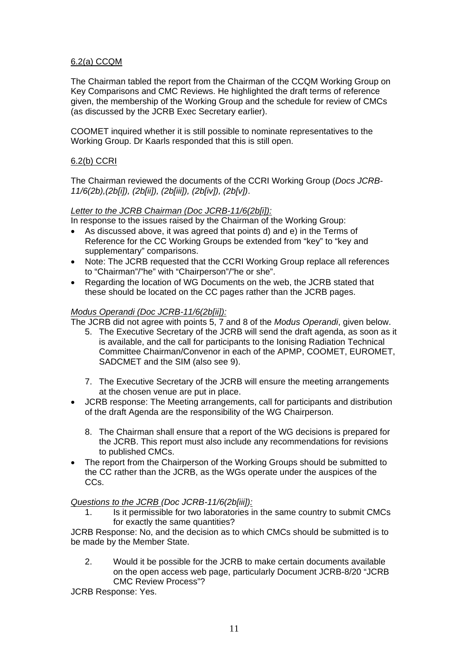# 6.2(a) CCQM

The Chairman tabled the report from the Chairman of the CCQM Working Group on Key Comparisons and CMC Reviews. He highlighted the draft terms of reference given, the membership of the Working Group and the schedule for review of CMCs (as discussed by the JCRB Exec Secretary earlier).

COOMET inquired whether it is still possible to nominate representatives to the Working Group. Dr Kaarls responded that this is still open.

## 6.2(b) CCRI

The Chairman reviewed the documents of the CCRI Working Group (*Docs JCRB-11/6(2b),(2b[i]), (2b[ii]), (2b[iii]), (2b[iv]), (2b[v])*.

## *Letter to the JCRB Chairman (Doc JCRB-11/6(2b[i]):*

In response to the issues raised by the Chairman of the Working Group:

- As discussed above, it was agreed that points d) and e) in the Terms of Reference for the CC Working Groups be extended from "key" to "key and supplementary" comparisons.
- Note: The JCRB requested that the CCRI Working Group replace all references to "Chairman"/"he" with "Chairperson"/"he or she".
- Regarding the location of WG Documents on the web, the JCRB stated that these should be located on the CC pages rather than the JCRB pages.

## *Modus Operandi (Doc JCRB-11/6(2b[ii]):*

The JCRB did not agree with points 5, 7 and 8 of the *Modus Operandi*, given below.

- 5. The Executive Secretary of the JCRB will send the draft agenda, as soon as it is available, and the call for participants to the Ionising Radiation Technical Committee Chairman/Convenor in each of the APMP, COOMET, EUROMET, SADCMET and the SIM (also see 9).
- 7. The Executive Secretary of the JCRB will ensure the meeting arrangements at the chosen venue are put in place.
- JCRB response: The Meeting arrangements, call for participants and distribution of the draft Agenda are the responsibility of the WG Chairperson.
	- 8. The Chairman shall ensure that a report of the WG decisions is prepared for the JCRB. This report must also include any recommendations for revisions to published CMCs.
- The report from the Chairperson of the Working Groups should be submitted to the CC rather than the JCRB, as the WGs operate under the auspices of the CCs.

## *Questions to the JCRB (Doc JCRB-11/6(2b[iii]):*

1. Is it permissible for two laboratories in the same country to submit CMCs for exactly the same quantities?

JCRB Response: No, and the decision as to which CMCs should be submitted is to be made by the Member State.

2. Would it be possible for the JCRB to make certain documents available on the open access web page, particularly Document JCRB-8/20 "JCRB CMC Review Process"?

JCRB Response: Yes.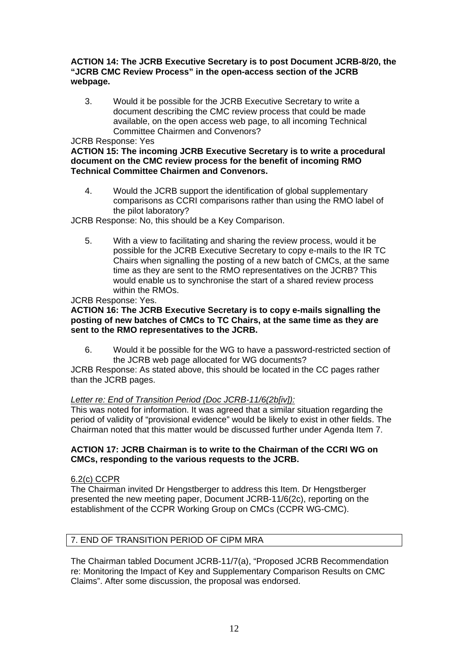## **ACTION 14: The JCRB Executive Secretary is to post Document JCRB-8/20, the "JCRB CMC Review Process" in the open-access section of the JCRB webpage.**

3. Would it be possible for the JCRB Executive Secretary to write a document describing the CMC review process that could be made available, on the open access web page, to all incoming Technical Committee Chairmen and Convenors?

## JCRB Response: Yes

### **ACTION 15: The incoming JCRB Executive Secretary is to write a procedural document on the CMC review process for the benefit of incoming RMO Technical Committee Chairmen and Convenors.**

4. Would the JCRB support the identification of global supplementary comparisons as CCRI comparisons rather than using the RMO label of the pilot laboratory?

JCRB Response: No, this should be a Key Comparison.

5. With a view to facilitating and sharing the review process, would it be possible for the JCRB Executive Secretary to copy e-mails to the IR TC Chairs when signalling the posting of a new batch of CMCs, at the same time as they are sent to the RMO representatives on the JCRB? This would enable us to synchronise the start of a shared review process within the RMOs.

JCRB Response: Yes.

## **ACTION 16: The JCRB Executive Secretary is to copy e-mails signalling the posting of new batches of CMCs to TC Chairs, at the same time as they are sent to the RMO representatives to the JCRB.**

6. Would it be possible for the WG to have a password-restricted section of the JCRB web page allocated for WG documents?

JCRB Response: As stated above, this should be located in the CC pages rather than the JCRB pages.

## *Letter re: End of Transition Period (Doc JCRB-11/6(2b[iv]):*

This was noted for information. It was agreed that a similar situation regarding the period of validity of "provisional evidence" would be likely to exist in other fields. The Chairman noted that this matter would be discussed further under Agenda Item 7.

## **ACTION 17: JCRB Chairman is to write to the Chairman of the CCRI WG on CMCs, responding to the various requests to the JCRB.**

## 6.2(c) CCPR

The Chairman invited Dr Hengstberger to address this Item. Dr Hengstberger presented the new meeting paper, Document JCRB-11/6(2c), reporting on the establishment of the CCPR Working Group on CMCs (CCPR WG-CMC).

# 7. END OF TRANSITION PERIOD OF CIPM MRA

The Chairman tabled Document JCRB-11/7(a), "Proposed JCRB Recommendation re: Monitoring the Impact of Key and Supplementary Comparison Results on CMC Claims". After some discussion, the proposal was endorsed.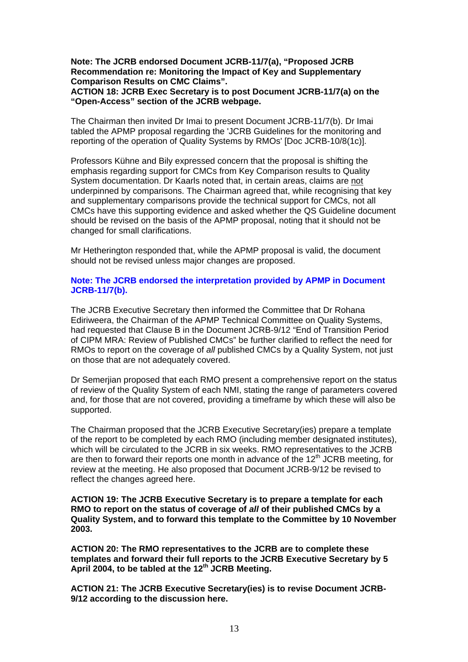## **Note: The JCRB endorsed Document JCRB-11/7(a), "Proposed JCRB Recommendation re: Monitoring the Impact of Key and Supplementary Comparison Results on CMC Claims".**

## **ACTION 18: JCRB Exec Secretary is to post Document JCRB-11/7(a) on the "Open-Access" section of the JCRB webpage.**

The Chairman then invited Dr Imai to present Document JCRB-11/7(b). Dr Imai tabled the APMP proposal regarding the 'JCRB Guidelines for the monitoring and reporting of the operation of Quality Systems by RMOs' [Doc JCRB-10/8(1c)].

Professors Kühne and Bily expressed concern that the proposal is shifting the emphasis regarding support for CMCs from Key Comparison results to Quality System documentation. Dr Kaarls noted that, in certain areas, claims are not underpinned by comparisons. The Chairman agreed that, while recognising that key and supplementary comparisons provide the technical support for CMCs, not all CMCs have this supporting evidence and asked whether the QS Guideline document should be revised on the basis of the APMP proposal, noting that it should not be changed for small clarifications.

Mr Hetherington responded that, while the APMP proposal is valid, the document should not be revised unless major changes are proposed.

## **Note: The JCRB endorsed the interpretation provided by APMP in Document JCRB-11/7(b).**

The JCRB Executive Secretary then informed the Committee that Dr Rohana Ediriweera, the Chairman of the APMP Technical Committee on Quality Systems, had requested that Clause B in the Document JCRB-9/12 "End of Transition Period of CIPM MRA: Review of Published CMCs" be further clarified to reflect the need for RMOs to report on the coverage of *all* published CMCs by a Quality System, not just on those that are not adequately covered.

Dr Semerjian proposed that each RMO present a comprehensive report on the status of review of the Quality System of each NMI, stating the range of parameters covered and, for those that are not covered, providing a timeframe by which these will also be supported.

The Chairman proposed that the JCRB Executive Secretary(ies) prepare a template of the report to be completed by each RMO (including member designated institutes), which will be circulated to the JCRB in six weeks. RMO representatives to the JCRB are then to forward their reports one month in advance of the  $12<sup>th</sup>$  JCRB meeting, for review at the meeting. He also proposed that Document JCRB-9/12 be revised to reflect the changes agreed here.

**ACTION 19: The JCRB Executive Secretary is to prepare a template for each RMO to report on the status of coverage of** *all* **of their published CMCs by a Quality System, and to forward this template to the Committee by 10 November 2003.** 

**ACTION 20: The RMO representatives to the JCRB are to complete these templates and forward their full reports to the JCRB Executive Secretary by 5**  April 2004, to be tabled at the 12<sup>th</sup> JCRB Meeting.

**ACTION 21: The JCRB Executive Secretary(ies) is to revise Document JCRB-9/12 according to the discussion here.**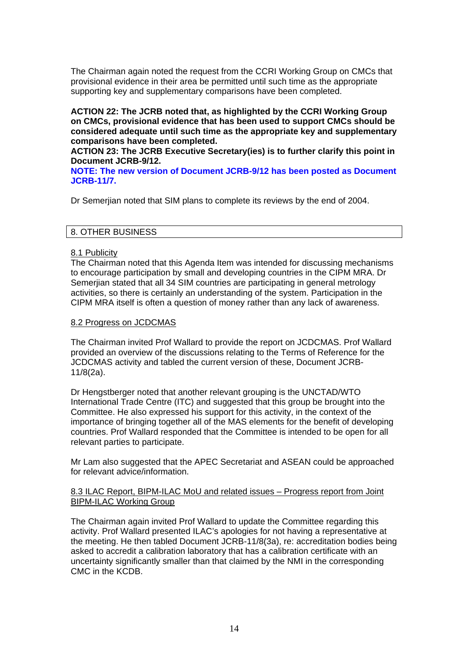The Chairman again noted the request from the CCRI Working Group on CMCs that provisional evidence in their area be permitted until such time as the appropriate supporting key and supplementary comparisons have been completed.

## **ACTION 22: The JCRB noted that, as highlighted by the CCRI Working Group on CMCs, provisional evidence that has been used to support CMCs should be considered adequate until such time as the appropriate key and supplementary comparisons have been completed.**

**ACTION 23: The JCRB Executive Secretary(ies) is to further clarify this point in Document JCRB-9/12.** 

**NOTE: The new version of Document JCRB-9/12 has been posted as Document JCRB-11/7.**

Dr Semerjian noted that SIM plans to complete its reviews by the end of 2004.

## 8. OTHER BUSINESS

## 8.1 Publicity

The Chairman noted that this Agenda Item was intended for discussing mechanisms to encourage participation by small and developing countries in the CIPM MRA. Dr Semerjian stated that all 34 SIM countries are participating in general metrology activities, so there is certainly an understanding of the system. Participation in the CIPM MRA itself is often a question of money rather than any lack of awareness.

#### 8.2 Progress on JCDCMAS

The Chairman invited Prof Wallard to provide the report on JCDCMAS. Prof Wallard provided an overview of the discussions relating to the Terms of Reference for the JCDCMAS activity and tabled the current version of these, Document JCRB-11/8(2a).

Dr Hengstberger noted that another relevant grouping is the UNCTAD/WTO International Trade Centre (ITC) and suggested that this group be brought into the Committee. He also expressed his support for this activity, in the context of the importance of bringing together all of the MAS elements for the benefit of developing countries. Prof Wallard responded that the Committee is intended to be open for all relevant parties to participate.

Mr Lam also suggested that the APEC Secretariat and ASEAN could be approached for relevant advice/information.

## 8.3 ILAC Report, BIPM-ILAC MoU and related issues – Progress report from Joint BIPM-ILAC Working Group

The Chairman again invited Prof Wallard to update the Committee regarding this activity. Prof Wallard presented ILAC's apologies for not having a representative at the meeting. He then tabled Document JCRB-11/8(3a), re: accreditation bodies being asked to accredit a calibration laboratory that has a calibration certificate with an uncertainty significantly smaller than that claimed by the NMI in the corresponding CMC in the KCDB.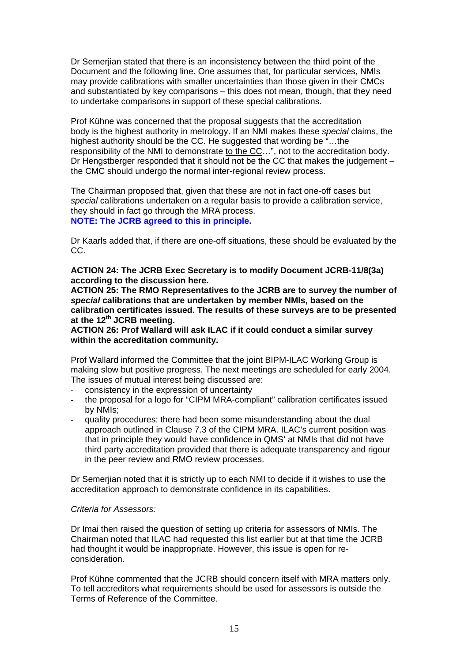Dr Semerjian stated that there is an inconsistency between the third point of the Document and the following line. One assumes that, for particular services, NMIs may provide calibrations with smaller uncertainties than those given in their CMCs and substantiated by key comparisons – this does not mean, though, that they need to undertake comparisons in support of these special calibrations.

Prof Kühne was concerned that the proposal suggests that the accreditation body is the highest authority in metrology. If an NMI makes these *special* claims, the highest authority should be the CC. He suggested that wording be "…the responsibility of the NMI to demonstrate to the CC…", not to the accreditation body. Dr Hengstberger responded that it should not be the CC that makes the judgement – the CMC should undergo the normal inter-regional review process.

The Chairman proposed that, given that these are not in fact one-off cases but *special* calibrations undertaken on a regular basis to provide a calibration service, they should in fact go through the MRA process. **NOTE: The JCRB agreed to this in principle.** 

Dr Kaarls added that, if there are one-off situations, these should be evaluated by the CC.

**ACTION 24: The JCRB Exec Secretary is to modify Document JCRB-11/8(3a) according to the discussion here.** 

**ACTION 25: The RMO Representatives to the JCRB are to survey the number of**  *special* **calibrations that are undertaken by member NMIs, based on the calibration certificates issued. The results of these surveys are to be presented at the 12th JCRB meeting.** 

**ACTION 26: Prof Wallard will ask ILAC if it could conduct a similar survey within the accreditation community.** 

Prof Wallard informed the Committee that the joint BIPM-ILAC Working Group is making slow but positive progress. The next meetings are scheduled for early 2004. The issues of mutual interest being discussed are:

- consistency in the expression of uncertainty
- the proposal for a logo for "CIPM MRA-compliant" calibration certificates issued by NMIs;
- quality procedures: there had been some misunderstanding about the dual approach outlined in Clause 7.3 of the CIPM MRA. ILAC's current position was that in principle they would have confidence in QMS' at NMIs that did not have third party accreditation provided that there is adequate transparency and rigour in the peer review and RMO review processes.

Dr Semerjian noted that it is strictly up to each NMI to decide if it wishes to use the accreditation approach to demonstrate confidence in its capabilities.

#### *Criteria for Assessors:*

Dr Imai then raised the question of setting up criteria for assessors of NMIs. The Chairman noted that ILAC had requested this list earlier but at that time the JCRB had thought it would be inappropriate. However, this issue is open for reconsideration.

Prof Kühne commented that the JCRB should concern itself with MRA matters only. To tell accreditors what requirements should be used for assessors is outside the Terms of Reference of the Committee.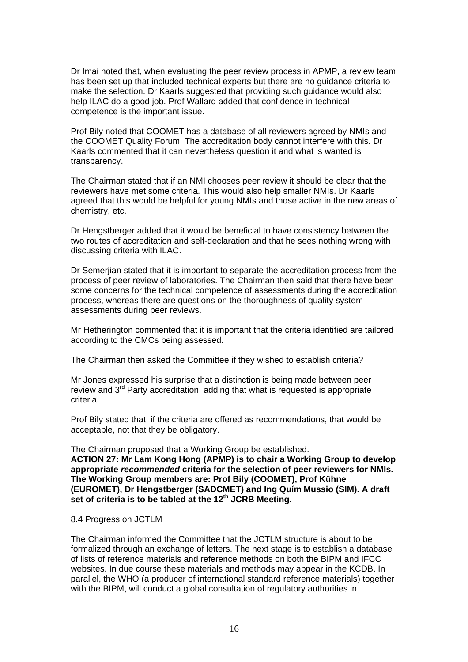Dr Imai noted that, when evaluating the peer review process in APMP, a review team has been set up that included technical experts but there are no guidance criteria to make the selection. Dr Kaarls suggested that providing such guidance would also help ILAC do a good job. Prof Wallard added that confidence in technical competence is the important issue.

Prof Bily noted that COOMET has a database of all reviewers agreed by NMIs and the COOMET Quality Forum. The accreditation body cannot interfere with this. Dr Kaarls commented that it can nevertheless question it and what is wanted is transparency.

The Chairman stated that if an NMI chooses peer review it should be clear that the reviewers have met some criteria. This would also help smaller NMIs. Dr Kaarls agreed that this would be helpful for young NMIs and those active in the new areas of chemistry, etc.

Dr Hengstberger added that it would be beneficial to have consistency between the two routes of accreditation and self-declaration and that he sees nothing wrong with discussing criteria with ILAC.

Dr Semerjian stated that it is important to separate the accreditation process from the process of peer review of laboratories. The Chairman then said that there have been some concerns for the technical competence of assessments during the accreditation process, whereas there are questions on the thoroughness of quality system assessments during peer reviews.

Mr Hetherington commented that it is important that the criteria identified are tailored according to the CMCs being assessed.

The Chairman then asked the Committee if they wished to establish criteria?

Mr Jones expressed his surprise that a distinction is being made between peer review and 3rd Party accreditation, adding that what is requested is appropriate criteria.

Prof Bily stated that, if the criteria are offered as recommendations, that would be acceptable, not that they be obligatory.

The Chairman proposed that a Working Group be established. **ACTION 27: Mr Lam Kong Hong (APMP) is to chair a Working Group to develop appropriate** *recommended* **criteria for the selection of peer reviewers for NMIs. The Working Group members are: Prof Bily (COOMET), Prof Kühne (EUROMET), Dr Hengstberger (SADCMET) and Ing Quím Mussio (SIM). A draft**  set of criteria is to be tabled at the 12<sup>th</sup> JCRB Meeting.

#### 8.4 Progress on JCTLM

The Chairman informed the Committee that the JCTLM structure is about to be formalized through an exchange of letters. The next stage is to establish a database of lists of reference materials and reference methods on both the BIPM and IFCC websites. In due course these materials and methods may appear in the KCDB. In parallel, the WHO (a producer of international standard reference materials) together with the BIPM, will conduct a global consultation of regulatory authorities in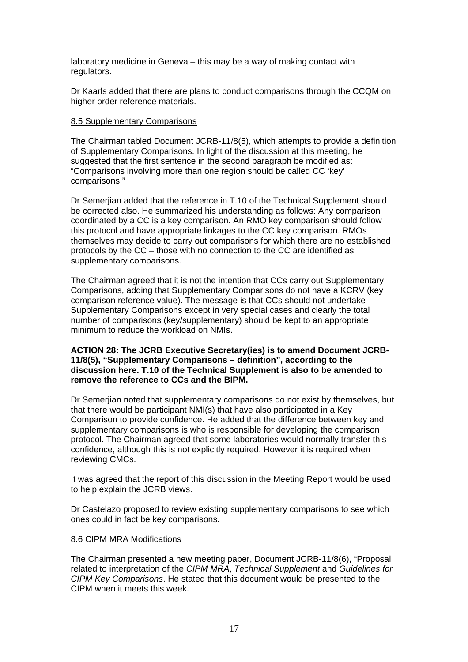laboratory medicine in Geneva – this may be a way of making contact with regulators.

Dr Kaarls added that there are plans to conduct comparisons through the CCQM on higher order reference materials.

#### 8.5 Supplementary Comparisons

The Chairman tabled Document JCRB-11/8(5), which attempts to provide a definition of Supplementary Comparisons. In light of the discussion at this meeting, he suggested that the first sentence in the second paragraph be modified as: "Comparisons involving more than one region should be called CC 'key' comparisons."

Dr Semerjian added that the reference in T.10 of the Technical Supplement should be corrected also. He summarized his understanding as follows: Any comparison coordinated by a CC is a key comparison. An RMO key comparison should follow this protocol and have appropriate linkages to the CC key comparison. RMOs themselves may decide to carry out comparisons for which there are no established protocols by the CC – those with no connection to the CC are identified as supplementary comparisons.

The Chairman agreed that it is not the intention that CCs carry out Supplementary Comparisons, adding that Supplementary Comparisons do not have a KCRV (key comparison reference value). The message is that CCs should not undertake Supplementary Comparisons except in very special cases and clearly the total number of comparisons (key/supplementary) should be kept to an appropriate minimum to reduce the workload on NMIs.

#### **ACTION 28: The JCRB Executive Secretary(ies) is to amend Document JCRB-11/8(5), "Supplementary Comparisons – definition", according to the discussion here. T.10 of the Technical Supplement is also to be amended to remove the reference to CCs and the BIPM.**

Dr Semerjian noted that supplementary comparisons do not exist by themselves, but that there would be participant NMI(s) that have also participated in a Key Comparison to provide confidence. He added that the difference between key and supplementary comparisons is who is responsible for developing the comparison protocol. The Chairman agreed that some laboratories would normally transfer this confidence, although this is not explicitly required. However it is required when reviewing CMCs.

It was agreed that the report of this discussion in the Meeting Report would be used to help explain the JCRB views.

Dr Castelazo proposed to review existing supplementary comparisons to see which ones could in fact be key comparisons.

#### 8.6 CIPM MRA Modifications

The Chairman presented a new meeting paper, Document JCRB-11/8(6), "Proposal related to interpretation of the *CIPM MRA*, *Technical Supplement* and *Guidelines for CIPM Key Comparisons*. He stated that this document would be presented to the CIPM when it meets this week.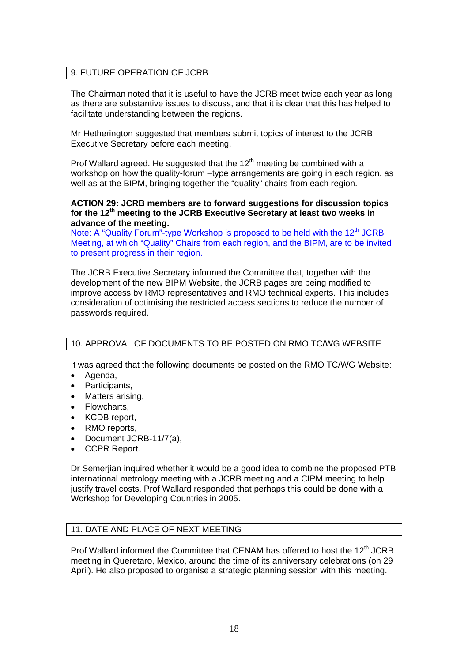## 9. FUTURE OPERATION OF JCRB

The Chairman noted that it is useful to have the JCRB meet twice each year as long as there are substantive issues to discuss, and that it is clear that this has helped to facilitate understanding between the regions.

Mr Hetherington suggested that members submit topics of interest to the JCRB Executive Secretary before each meeting.

Prof Wallard agreed. He suggested that the  $12<sup>th</sup>$  meeting be combined with a workshop on how the quality-forum –type arrangements are going in each region, as well as at the BIPM, bringing together the "quality" chairs from each region.

#### **ACTION 29: JCRB members are to forward suggestions for discussion topics for the 12th meeting to the JCRB Executive Secretary at least two weeks in advance of the meeting.**

Note: A "Quality Forum"-type Workshop is proposed to be held with the 12<sup>th</sup> JCRB Meeting, at which "Quality" Chairs from each region, and the BIPM, are to be invited to present progress in their region.

The JCRB Executive Secretary informed the Committee that, together with the development of the new BIPM Website, the JCRB pages are being modified to improve access by RMO representatives and RMO technical experts. This includes consideration of optimising the restricted access sections to reduce the number of passwords required.

## 10. APPROVAL OF DOCUMENTS TO BE POSTED ON RMO TC/WG WEBSITE

It was agreed that the following documents be posted on the RMO TC/WG Website:

- Agenda,
- Participants,
- Matters arising,
- Flowcharts,
- KCDB report,
- RMO reports,
- Document JCRB-11/7(a),
- CCPR Report.

Dr Semerjian inquired whether it would be a good idea to combine the proposed PTB international metrology meeting with a JCRB meeting and a CIPM meeting to help justify travel costs. Prof Wallard responded that perhaps this could be done with a Workshop for Developing Countries in 2005.

## 11. DATE AND PLACE OF NEXT MEETING

Prof Wallard informed the Committee that CENAM has offered to host the 12<sup>th</sup> JCRB meeting in Queretaro, Mexico, around the time of its anniversary celebrations (on 29 April). He also proposed to organise a strategic planning session with this meeting.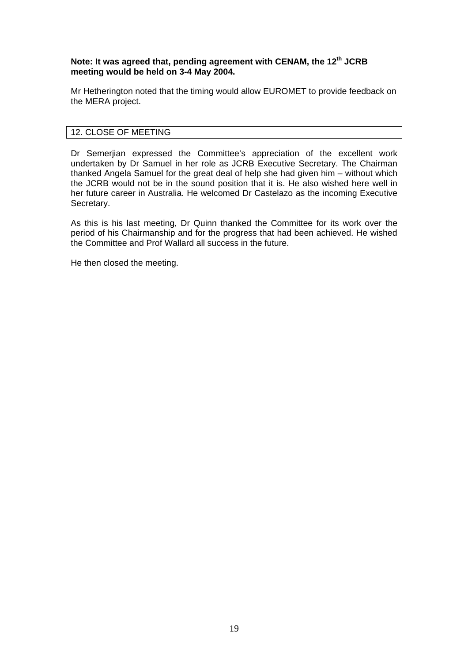## **Note: It was agreed that, pending agreement with CENAM, the 12th JCRB meeting would be held on 3-4 May 2004.**

Mr Hetherington noted that the timing would allow EUROMET to provide feedback on the MERA project.

## 12. CLOSE OF MEETING

Dr Semerjian expressed the Committee's appreciation of the excellent work undertaken by Dr Samuel in her role as JCRB Executive Secretary. The Chairman thanked Angela Samuel for the great deal of help she had given him – without which the JCRB would not be in the sound position that it is. He also wished here well in her future career in Australia. He welcomed Dr Castelazo as the incoming Executive Secretary.

As this is his last meeting, Dr Quinn thanked the Committee for its work over the period of his Chairmanship and for the progress that had been achieved. He wished the Committee and Prof Wallard all success in the future.

He then closed the meeting.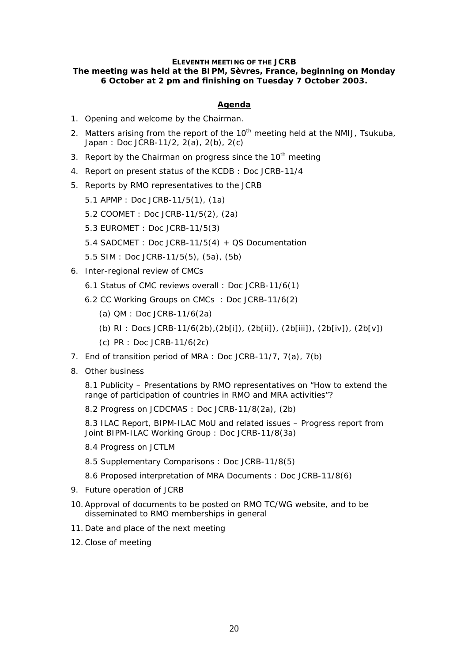#### **ELEVENTH MEETING OF THE JCRB**

## *The meeting was held at the BIPM, Sèvres, France, beginning on Monday 6 October at 2 pm and finishing on Tuesday 7 October 2003.*

#### **Agenda**

- 1. Opening and welcome by the Chairman.
- 2. Matters arising from the report of the  $10<sup>th</sup>$  meeting held at the NMIJ, Tsukuba, Japan : *Doc JCRB-11/2, 2(a), 2(b), 2(c)*
- 3. Report by the Chairman on progress since the  $10<sup>th</sup>$  meeting
- *4.* Report on present status of the KCDB : *Doc JCRB-11/4*
- 5. Reports by RMO representatives to the JCRB
	- 5.1 APMP : *Doc JCRB-11/5(1), (1a)*
	- 5.2 COOMET : *Doc JCRB-11/5(2), (2a)*
	- 5.3 EUROMET : *Doc JCRB-11/5(3)*
	- 5.4 SADCMET : *Doc JCRB-11/5(4) + QS Documentation*
	- 5.5 SIM : *Doc JCRB-11/5(5), (5a), (5b)*
- 6. Inter-regional review of CMCs
	- 6.1 Status of CMC reviews overall : *Doc JCRB-11/6(1)*
	- 6.2 CC Working Groups on CMCs : *Doc JCRB-11/6(2)* 
		- (a) QM : *Doc JCRB-11/6(2a)*
		- (b) RI : *Docs JCRB-11/6(2b),(2b[i]), (2b[ii]), (2b[iii]), (2b[iv]), (2b[v])*
		- (c) PR : *Doc JCRB-11/6(2c)*
- 7. End of transition period of MRA : *Doc JCRB-11/7, 7(a), 7(b)*
- 8. Other business

8.1 Publicity – Presentations by RMO representatives on "How to extend the range of participation of countries in RMO and MRA activities"?

8.2 Progress on JCDCMAS : *Doc JCRB-11/8(2a), (2b)*

8.3 ILAC Report, BIPM-ILAC MoU and related issues – Progress report from Joint BIPM-ILAC Working Group : *Doc JCRB-11/8(3a)*

- 8.4 Progress on JCTLM
- 8.5 Supplementary Comparisons : *Doc JCRB-11/8(5)*
- 8.6 Proposed interpretation of MRA Documents : *Doc JCRB-11/8(6)*
- 9. Future operation of JCRB
- 10.Approval of documents to be posted on RMO TC/WG website, and to be disseminated to RMO memberships in general
- 11. Date and place of the next meeting
- 12.Close of meeting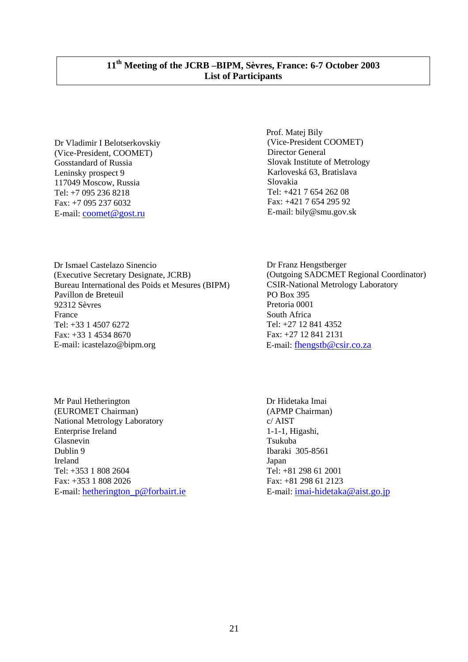Dr Vladimir I Belotserkovskiy (Vice-President, COOMET) Gosstandard of Russia Leninsky prospect 9 117049 Moscow, Russia Tel: +7 095 236 8218 Fax: +7 095 237 6032 E-mail: [coomet@gost.ru](mailto:coomet@gost.ru)

 Prof. Matej Bily (Vice-President COOMET) Director General Slovak Institute of Metrology Karloveská 63, Bratislava Slovakia Tel: +421 7 654 262 08 Fax: +421 7 654 295 92 E-mail: bily@smu.gov.sk

 Dr Ismael Castelazo Sinencio (Executive Secretary Designate, JCRB) Bureau International des Poids et Mesures (BIPM) Pavillon de Breteuil 92312 Sèvres France Tel: +33 1 4507 6272 Fax: +33 1 4534 8670 E-mail: icastelazo@bipm.org

 Mr Paul Hetherington (EUROMET Chairman) National Metrology Laboratory Enterprise Ireland Glasnevin Dublin 9 Ireland Tel: +353 1 808 2604 Fax: +353 1 808 2026 E-mail: [hetherington\\_p@forbairt.ie](mailto:hetherington_p@forbairt.ie)

Dr Franz Hengstberger (Outgoing SADCMET Regional Coordinator) CSIR-National Metrology Laboratory PO Box 395 Pretoria 0001 South Africa Tel: +27 12 841 4352 Fax: +27 12 841 2131 E-mail: [fhengstb@csir.co.za](mailto:fhengstb@csir.co.za)

 Dr Hidetaka Imai (APMP Chairman) c/ AIST 1-1-1, Higashi, Tsukuba Ibaraki 305-8561 Japan Tel: +81 298 61 2001 Fax: +81 298 61 2123 E-mail: [imai-hidetaka@aist.go.jp](mailto:imai-hidetaka@aist.go.jp)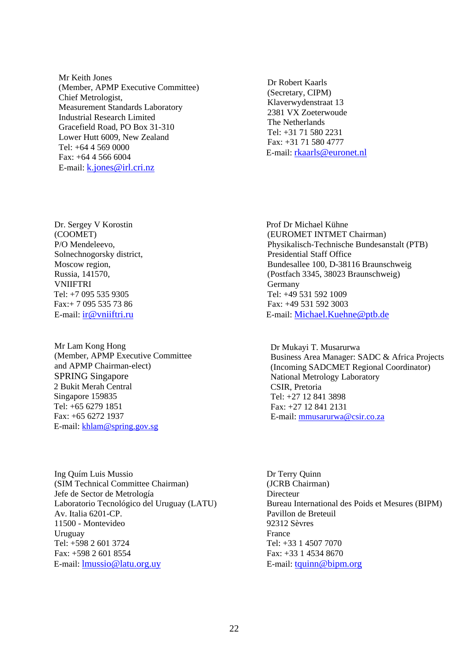Mr Keith Jones (Member, APMP Executive Committee) Chief Metrologist, Measurement Standards Laboratory Industrial Research Limited Gracefield Road, PO Box 31-310 Lower Hutt 6009, New Zealand Tel: +64 4 569 0000 Fax: +64 4 566 6004 E-mail: [k.jones@irl.cri.nz](mailto:k.jones@irl.cri.nz)

Dr. Sergey V Korostin (COOMET) P/O Mendeleevo, Solnechnogorsky district, Moscow region. Russia, 141570, **VNIIFTRI**  Tel: +7 095 535 9305 Fax:+ 7 095 535 73 86 E-mail: [ir@vniiftri.ru](mailto:ir@vniiftri.ru)

Mr Lam Kong Hong (Member, APMP Executive Committee and APMP Chairman-elect) SPRING Singapore 2 Bukit Merah Central Singapore 159835 Tel: +65 6279 1851 Fax: +65 6272 1937 E-mail: khlam@spring.gov.sg

Ing Quím Luis Mussio (SIM Technical Committee Chairman) Jefe de Sector de Metrología Laboratorio Tecnológico del Uruguay (LATU) Av. Italia 6201-CP. 11500 - Montevideo Uruguay Tel: +598 2 601 3724 Fax: +598 2 601 8554 E-mail: [lmussio@latu.org.uy](mailto:lmussio@latu.org.uy)

Dr Robert Kaarls (Secretary, CIPM) Klaverwydenstraat 13 2381 VX Zoeterwoude The Netherlands Tel: +31 71 580 2231 Fax: +31 71 580 4777 E-mail: [rkaarls@euronet.nl](mailto:rkaarls@euronet.nl)

 Prof Dr Michael Kühne (EUROMET INTMET Chairman) Physikalisch-Technische Bundesanstalt (PTB) Presidential Staff Office Bundesallee 100, D-38116 Braunschweig (Postfach 3345, 38023 Braunschweig) Germany Tel: +49 531 592 1009 Fax: +49 531 592 3003 E-mail: [Michael.Kuehne@ptb.de](mailto:Michael.Kuehne@ptb.de)

 Dr Mukayi T. Musarurwa Business Area Manager: SADC & Africa Projects (Incoming SADCMET Regional Coordinator) National Metrology Laboratory CSIR, Pretoria Tel: +27 12 841 3898 Fax: +27 12 841 2131 E-mail: [mmusarurwa@csir.co.za](mailto:mmusarurwa@csir.co.za)

Dr Terry Quinn (JCRB Chairman) **Directeur** Bureau International des Poids et Mesures (BIPM) Pavillon de Breteuil 92312 Sèvres France Tel: +33 1 4507 7070 Fax: +33 1 4534 8670 E-mail: [tquinn@bipm.org](mailto:tquinn@bipm.org)